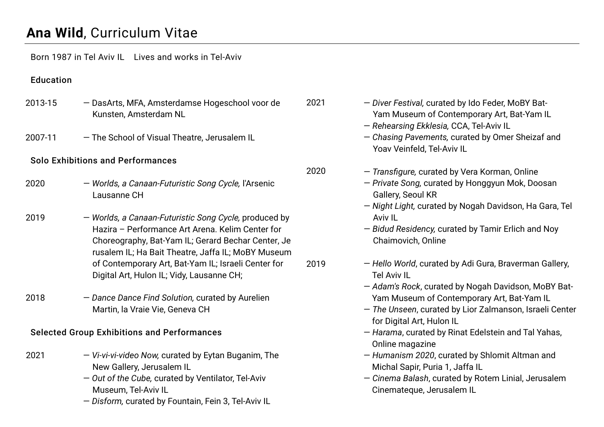## **Ana Wild**, Curriculum Vitae

Born 1987 in Tel Aviv IL Lives and works in Tel-Aviv

## Education

- 2013-15 ― DasArts, MFA, Amsterdamse Hogeschool voor de Kunsten, Amsterdam NL
- 2007-11 ― The School of Visual Theatre, Jerusalem IL

### Solo Exhibitions and Performances

- 2020 ― *Worlds, a Canaan-Futuristic Song Cycle,* l'Arsenic Lausanne CH
- 2019 ― *Worlds, a Canaan-Futuristic Song Cycle,* produced by Hazira – Performance Art Arena. Kelim Center for Choreography, Bat-Yam IL; Gerard Bechar Center, Je rusalem IL; Ha Bait Theatre, Jaffa IL; MoBY Museum of Contemporary Art, Bat-Yam IL; Israeli Center for Digital Art, Hulon IL; Vidy, Lausanne CH;
- 2018 ― *Dance Dance Find Solution,* curated by Aurelien Martin, la Vraie Vie, Geneva CH

## Selected Group Exhibitions and Performances

- 2021 ― *Vi-vi-vi-video Now,* curated by Eytan Buganim, The New Gallery, Jerusalem IL
	- ― *Out of the Cube,* curated by Ventilator, Tel-Aviv Museum, Tel-Aviv IL
	- ― *Disform,* curated by Fountain, Fein 3, Tel-Aviv IL
- 2021 ― *Diver Festival,* curated by Ido Feder, MoBY Bat-Yam Museum of Contemporary Art, Bat-Yam IL
	- ― *Rehearsing Ekklesia,* CCA, Tel-Aviv IL

2019

- ― *Chasing Pavements,* curated by Omer Sheizaf and Yoav Veinfeld, Tel-Aviv IL
- 2020 ― *Transfigure,* curated by Vera Korman, Online
	- ― *Private Song,* curated by Honggyun Mok, Doosan Gallery, Seoul KR
	- ― *Night Light,* curated by Nogah Davidson, Ha Gara, Tel Aviv IL
	- ― *Bidud Residency,* curated by Tamir Erlich and Noy Chaimovich, Online
	- ― *Hello World*, curated by Adi Gura, Braverman Gallery, Tel Aviv IL
		- ― *Adam's Rock*, curated by Nogah Davidson, MoBY Bat-Yam Museum of Contemporary Art, Bat-Yam IL
		- ― *The Unseen*, curated by Lior Zalmanson, Israeli Center for Digital Art, Hulon IL
		- ― *Harama*, curated by Rinat Edelstein and Tal Yahas, Online magazine
		- ― *Humanism 2020*, curated by Shlomit Altman and Michal Sapir, Puria 1, Jaffa IL
		- ― *Cinema Balash*, curated by Rotem Linial, Jerusalem Cinemateque, Jerusalem IL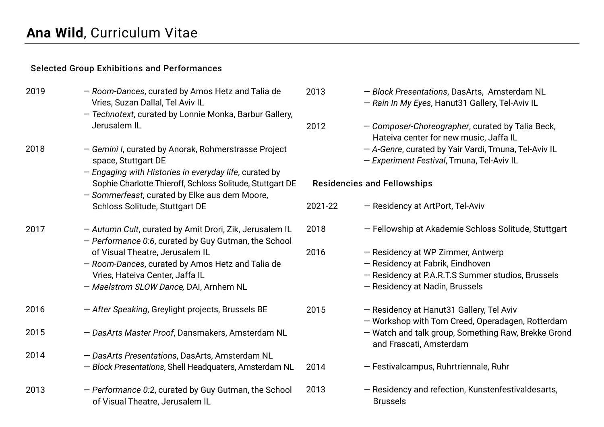#### Selected Group Exhibitions and Performances

| 2019 | - Room-Dances, curated by Amos Hetz and Talia de<br>Vries, Suzan Dallal, Tel Aviv IL<br>- Technotext, curated by Lonnie Monka, Barbur Gallery,                       | 2013    | - Block Presentations, DasArts, Amsterdam NL<br>- Rain In My Eyes, Hanut 31 Gallery, Tel-Aviv IL  |
|------|----------------------------------------------------------------------------------------------------------------------------------------------------------------------|---------|---------------------------------------------------------------------------------------------------|
|      | Jerusalem IL                                                                                                                                                         | 2012    | - Composer-Choreographer, curated by Talia Beck,<br>Hateiva center for new music, Jaffa IL        |
| 2018 | - Gemini I, curated by Anorak, Rohmerstrasse Project<br>space, Stuttgart DE                                                                                          |         | - A-Genre, curated by Yair Vardi, Tmuna, Tel-Aviv IL<br>- Experiment Festival, Tmuna, Tel-Aviv IL |
|      | - Engaging with Histories in everyday life, curated by<br>Sophie Charlotte Thieroff, Schloss Solitude, Stuttgart DE<br>- Sommerfeast, curated by Elke aus dem Moore, |         | <b>Residencies and Fellowships</b>                                                                |
|      | Schloss Solitude, Stuttgart DE                                                                                                                                       | 2021-22 | - Residency at ArtPort, Tel-Aviv                                                                  |
| 2017 | - Autumn Cult, curated by Amit Drori, Zik, Jerusalem IL<br>- Performance 0:6, curated by Guy Gutman, the School                                                      | 2018    | - Fellowship at Akademie Schloss Solitude, Stuttgart                                              |
|      | of Visual Theatre, Jerusalem IL                                                                                                                                      | 2016    | - Residency at WP Zimmer, Antwerp                                                                 |
|      | - Room-Dances, curated by Amos Hetz and Talia de                                                                                                                     |         | - Residency at Fabrik, Eindhoven                                                                  |
|      | Vries, Hateiva Center, Jaffa IL                                                                                                                                      |         | - Residency at P.A.R.T.S Summer studios, Brussels                                                 |
|      | - Maelstrom SLOW Dance, DAI, Arnhem NL                                                                                                                               |         | - Residency at Nadin, Brussels                                                                    |
| 2016 | - After Speaking, Greylight projects, Brussels BE                                                                                                                    | 2015    | - Residency at Hanut 31 Gallery, Tel Aviv                                                         |
|      |                                                                                                                                                                      |         | - Workshop with Tom Creed, Operadagen, Rotterdam                                                  |
| 2015 | - DasArts Master Proof, Dansmakers, Amsterdam NL                                                                                                                     |         | - Watch and talk group, Something Raw, Brekke Grond<br>and Frascati, Amsterdam                    |
| 2014 | - DasArts Presentations, DasArts, Amsterdam NL                                                                                                                       |         |                                                                                                   |
|      | - Block Presentations, Shell Headquaters, Amsterdam NL                                                                                                               | 2014    | - Festivalcampus, Ruhrtriennale, Ruhr                                                             |
| 2013 | - Performance 0:2, curated by Guy Gutman, the School<br>of Visual Theatre, Jerusalem IL                                                                              | 2013    | - Residency and refection, Kunstenfestivaldesarts,<br><b>Brussels</b>                             |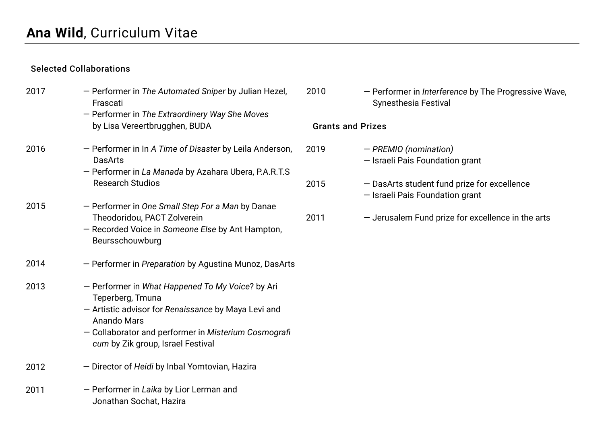# **Ana Wild**, Curriculum Vitae

## Selected Collaborations

| 2017 | - Performer in The Automated Sniper by Julian Hezel,<br>Frascati<br>- Performer in The Extraordinery Way She Moves                                                                                                                             | 2010 | - Performer in Interference by The Progressive Wave,<br>Synesthesia Festival   |
|------|------------------------------------------------------------------------------------------------------------------------------------------------------------------------------------------------------------------------------------------------|------|--------------------------------------------------------------------------------|
|      | by Lisa Vereertbrugghen, BUDA                                                                                                                                                                                                                  |      | <b>Grants and Prizes</b>                                                       |
| 2016 | - Performer in In A Time of Disaster by Leila Anderson,<br><b>DasArts</b><br>- Performer in La Manada by Azahara Ubera, P.A.R.T.S                                                                                                              | 2019 | - PREMIO (nomination)<br>- Israeli Pais Foundation grant                       |
|      | <b>Research Studios</b>                                                                                                                                                                                                                        | 2015 | - DasArts student fund prize for excellence<br>- Israeli Pais Foundation grant |
| 2015 | - Performer in One Small Step For a Man by Danae<br>Theodoridou, PACT Zolverein<br>- Recorded Voice in Someone Else by Ant Hampton,<br>Beursschouwburg                                                                                         | 2011 | $-$ Jerusalem Fund prize for excellence in the arts                            |
| 2014 | - Performer in Preparation by Agustina Munoz, DasArts                                                                                                                                                                                          |      |                                                                                |
| 2013 | - Performer in What Happened To My Voice? by Ari<br>Teperberg, Tmuna<br>- Artistic advisor for Renaissance by Maya Levi and<br><b>Anando Mars</b><br>- Collaborator and performer in Misterium Cosmografi<br>cum by Zik group, Israel Festival |      |                                                                                |
| 2012 | - Director of Heidi by Inbal Yomtovian, Hazira                                                                                                                                                                                                 |      |                                                                                |
| 2011 | - Performer in Laika by Lior Lerman and<br>Jonathan Sochat, Hazira                                                                                                                                                                             |      |                                                                                |